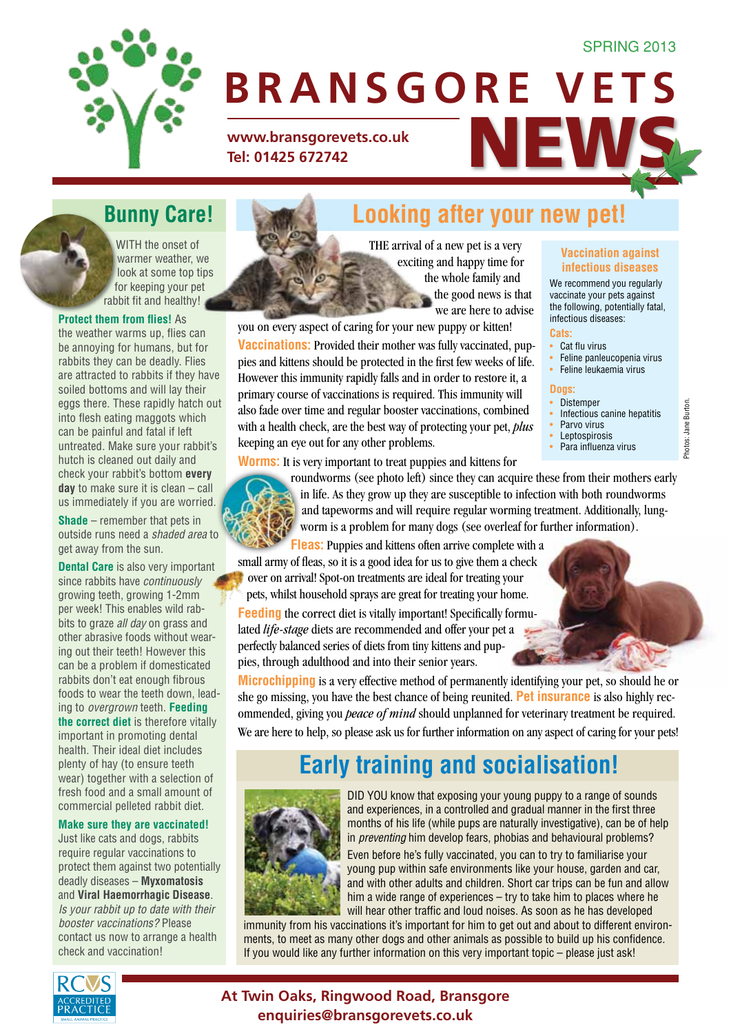#### **SPRING 2013**



# **BRANSGORE VETS**

WWW.bransgorevets.co.uk<br>Tel: 01425 672742 **Tel: 01425 672742**

WITH the onset of warmer weather, we look at some top tips for keeping your pet rabbit fit and healthy!

#### **Protect them from flies!** As

the weather warms up, flies can be annoying for humans, but for rabbits they can be deadly. Flies are attracted to rabbits if they have soiled bottoms and will lay their eggs there. These rapidly hatch out into flesh eating maggots which can be painful and fatal if left untreated. Make sure your rabbit's hutch is cleaned out daily and check your rabbit's bottom **every day** to make sure it is clean – call us immediately if you are worried.

**Shade** – remember that pets in outside runs need a *shaded area* to get away from the sun.

**Dental Care** is also very important since rabbits have *continuously* growing teeth, growing 1-2mm per week! This enables wild rabbits to graze *all day* on grass and other abrasive foods without wearing out their teeth! However this can be a problem if domesticated rabbits don't eat enough fibrous foods to wear the teeth down, leading to *overgrown* teeth. **Feeding the correct diet** is therefore vitally important in promoting dental health. Their ideal diet includes plenty of hay (to ensure teeth wear) together with a selection of fresh food and a small amount of commercial pelleted rabbit diet.

#### **Make sure they are vaccinated!**

Just like cats and dogs, rabbits require regular vaccinations to protect them against two potentially deadly diseases – **Myxomatosis** and **Viral Haemorrhagic Disease**. *Is your rabbit up to date with their booster vaccinations?* Please contact us now to arrange a health check and vaccination!



**Bunny Care! Looking after your new pet!**

The arrival of a new pet is a very exciting and happy time for the whole family and the good news is that we are here to advise

you on every aspect of caring for your new puppy or kitten! **Vaccinations:** Provided their mother was fully vaccinated, puppies and kittens should be protected in the first few weeks of life. However this immunity rapidly falls and in order to restore it, a primary course of vaccinations is required. This immunity will also fade over time and regular booster vaccinations, combined with a health check, are the best way of protecting your pet, *plus* keeping an eye out for any other problems.

#### **Vaccination against infectious diseases**

We recommend you regularly vaccinate your pets against the following, potentially fatal, infectious diseases:

#### **Cats:**

- Cat flu virus
- Feline panleucopenia virus
- Feline leukaemia virus

#### **Dogs:**

• Distemper

Photos: Jane Burton.

Photos: Jane Burton

- Infectious canine hepatitis Parvo virus
- **Leptospirosis**
- Para influenza virus

**Worms:** It is very important to treat puppies and kittens for



roundworms (see photo left) since they can acquire these from their mothers early in life. As they grow up they are susceptible to infection with both roundworms and tapeworms and will require regular worming treatment. Additionally, lungworm is a problem for many dogs (see overleaf for further information).

**Fleas:** Puppies and kittens often arrive complete with a small army of fleas, so it is a good idea for us to give them a check over on arrival! Spot-on treatments are ideal for treating your pets, whilst household sprays are great for treating your home.

**Feeding** the correct diet is vitally important! Specifically formulated *life-stage* diets are recommended and offer your pet a perfectly balanced series of diets from tiny kittens and puppies, through adulthood and into their senior years.

**Microchipping** is a very effective method of permanently identifying your pet, so should he or she go missing, you have the best chance of being reunited. **Pet insurance** is also highly recommended, giving you *peace of mind* should unplanned for veterinary treatment be required. We are here to help, so please ask us for further information on any aspect of caring for your pets!

## **Early training and socialisation!**



DID YOU know that exposing your young puppy to a range of sounds and experiences, in a controlled and gradual manner in the first three months of his life (while pups are naturally investigative), can be of help in *preventing* him develop fears, phobias and behavioural problems?

Even before he's fully vaccinated, you can to try to familiarise your young pup within safe environments like your house, garden and car, and with other adults and children. Short car trips can be fun and allow him a wide range of experiences – try to take him to places where he will hear other traffic and loud noises. As soon as he has developed

immunity from his vaccinations it's important for him to get out and about to different environments, to meet as many other dogs and other animals as possible to build up his confidence. If you would like any further information on this very important topic – please just ask!



### **At Twin Oaks, Ringwood Road, Bransgore enquiries@bransgorevets.co.uk**